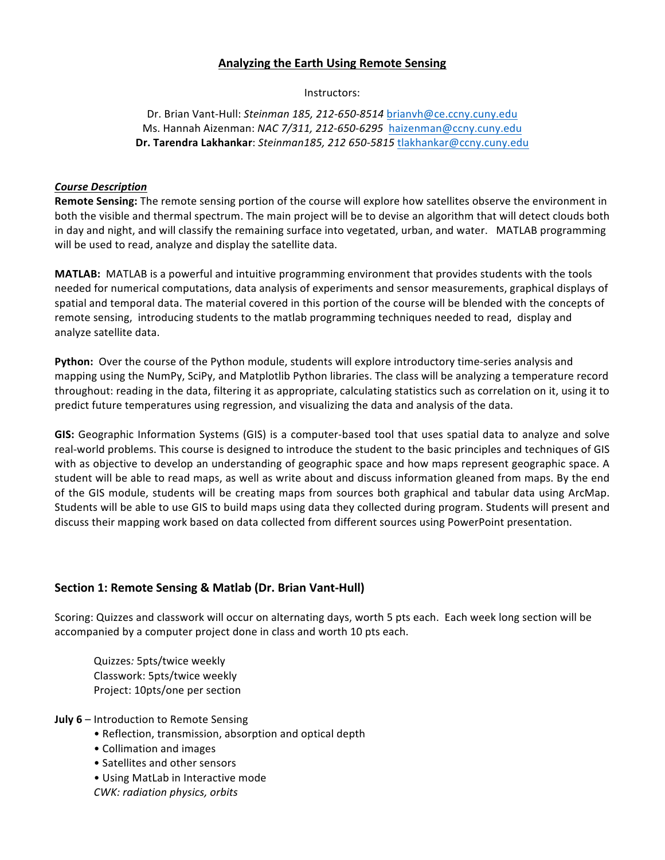## **Analyzing the Earth Using Remote Sensing**

Instructors:

Dr. Brian Vant-Hull: *Steinman 185, 212-650-8514* brianvh@ce.ccny.cuny.edu Ms. Hannah Aizenman: *NAC 7/311, 212-650-6295* haizenman@ccny.cuny.edu **Dr. Tarendra Lakhankar**: *Steinman185, 212 650-5815* tlakhankar@ccny.cuny.edu

#### *Course Description*

**Remote Sensing:** The remote sensing portion of the course will explore how satellites observe the environment in both the visible and thermal spectrum. The main project will be to devise an algorithm that will detect clouds both in day and night, and will classify the remaining surface into vegetated, urban, and water. MATLAB programming will be used to read, analyze and display the satellite data.

**MATLAB:** MATLAB is a powerful and intuitive programming environment that provides students with the tools needed for numerical computations, data analysis of experiments and sensor measurements, graphical displays of spatial and temporal data. The material covered in this portion of the course will be blended with the concepts of remote sensing, introducing students to the matlab programming techniques needed to read, display and analyze satellite data.

**Python:** Over the course of the Python module, students will explore introductory time-series analysis and mapping using the NumPy, SciPy, and Matplotlib Python libraries. The class will be analyzing a temperature record throughout: reading in the data, filtering it as appropriate, calculating statistics such as correlation on it, using it to predict future temperatures using regression, and visualizing the data and analysis of the data.

GIS: Geographic Information Systems (GIS) is a computer-based tool that uses spatial data to analyze and solve real-world problems. This course is designed to introduce the student to the basic principles and techniques of GIS with as objective to develop an understanding of geographic space and how maps represent geographic space. A student will be able to read maps, as well as write about and discuss information gleaned from maps. By the end of the GIS module, students will be creating maps from sources both graphical and tabular data using ArcMap. Students will be able to use GIS to build maps using data they collected during program. Students will present and discuss their mapping work based on data collected from different sources using PowerPoint presentation.

# **Section 1: Remote Sensing & Matlab (Dr. Brian Vant-Hull)**

Scoring: Quizzes and classwork will occur on alternating days, worth 5 pts each. Each week long section will be accompanied by a computer project done in class and worth 10 pts each.

Quizzes*:* 5pts/twice weekly Classwork: 5pts/twice weekly Project: 10pts/one per section

- **July 6** Introduction to Remote Sensing
	- Reflection, transmission, absorption and optical depth
	- Collimation and images
	- Satellites and other sensors
	- Using MatLab in Interactive mode
	- *CWK: radiation physics, orbits*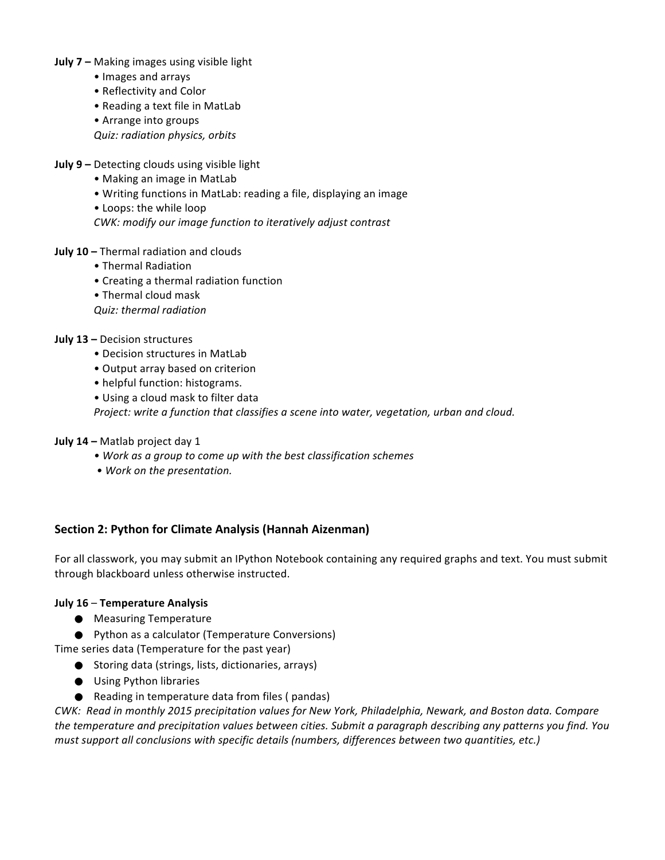- **July 7** Making images using visible light
	- • Images and arrays
	- Reflectivity and Color
	- Reading a text file in MatLab
	- Arrange into groups

*Quiz: radiation physics, orbits*

- **July 9 -** Detecting clouds using visible light
	- Making an image in MatLab
	- Writing functions in MatLab: reading a file, displaying an image
	- Loops: the while loop

*CWK: modify our image function to iteratively adjust contrast* 

- **July 10** Thermal radiation and clouds
	- Thermal Radiation
	- Creating a thermal radiation function
	- Thermal cloud mask

*Quiz: thermal radiation*

## **July 13 - Decision structures**

- Decision structures in MatLab
- Output array based on criterion
- helpful function: histograms.
- Using a cloud mask to filter data

*Project:* write a function that classifies a scene into water, vegetation, urban and cloud.

## **July 14 - Matlab project day 1**

- *• Work as a group to come up with the best classification schemes*
- *• Work on the presentation.*

# **Section 2: Python for Climate Analysis (Hannah Aizenman)**

For all classwork, you may submit an IPython Notebook containing any required graphs and text. You must submit through blackboard unless otherwise instructed.

## **July 16** – **Temperature Analysis**

- Measuring Temperature
- Python as a calculator (Temperature Conversions)

Time series data (Temperature for the past year)

- Storing data (strings, lists, dictionaries, arrays)
- Using Python libraries
- Reading in temperature data from files ( pandas)

*CWK: Read in monthly 2015 precipitation values for New York, Philadelphia, Newark, and Boston data. Compare* the temperature and precipitation values between cities. Submit a paragraph describing any patterns you find. You *must support all conclusions with specific details (numbers, differences between two quantities, etc.)*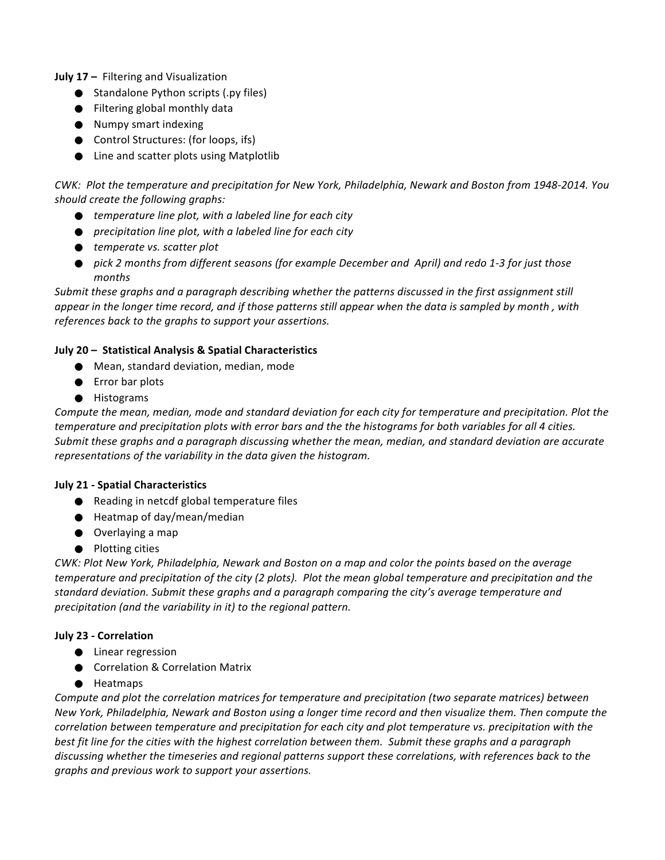**July 17 - Filtering and Visualization** 

- Standalone Python scripts (.py files)
- Filtering global monthly data
- Numpy smart indexing
- Control Structures: (for loops, ifs)
- Line and scatter plots using Matplotlib

*CWK: Plot the temperature and precipitation for New York, Philadelphia, Newark and Boston from 1948-2014. You should create the following graphs:*

- *temperature line plot, with a labeled line for each city*
- *precipitation line plot, with a labeled line for each city*
- *temperate vs. scatter plot*
- pick 2 months from different seasons (for example December and April) and redo 1-3 for just those *months*

*Submit these graphs and a paragraph describing whether the patterns discussed in the first assignment still appear* in the longer time record, and if those patterns still appear when the data is sampled by month, with references back to the graphs to support your assertions.

## **July 20 - Statistical Analysis & Spatial Characteristics**

- Mean, standard deviation, median, mode
- Error bar plots
- ⚫ Histograms

*Compute* the mean, median, mode and standard deviation for each city for temperature and precipitation. Plot the *temperature and precipitation plots with error bars and the the histograms for both variables for all 4 cities. Submit* these graphs and a paragraph discussing whether the mean, median, and standard deviation are accurate representations of the variability in the data given the histogram.

## **July 21 - Spatial Characteristics**

- Reading in netcdf global temperature files
- $\bullet$  Heatmap of day/mean/median
- $\bullet$  Overlaying a map
- Plotting cities

*CWK: Plot New York, Philadelphia, Newark and Boston on a map and color the points based on the average temperature and precipitation of the city (2 plots). Plot the mean global temperature and precipitation and the* standard deviation. Submit these graphs and a paragraph comparing the city's average temperature and *precipitation (and the variability in it)* to the regional pattern.

# **July 23 - Correlation**

- Linear regression
- Correlation & Correlation Matrix
- ⚫ Heatmaps

*Compute and plot the correlation matrices for temperature and precipitation (two separate matrices) between New York, Philadelphia, Newark and Boston using a longer time record and then visualize them. Then compute the correlation between temperature and precipitation for each city and plot temperature vs. precipitation with the best fit line for the cities with the highest correlation between them. Submit these graphs and a paragraph* discussing whether the timeseries and regional patterns support these correlations, with references back to the graphs and previous work to support your assertions.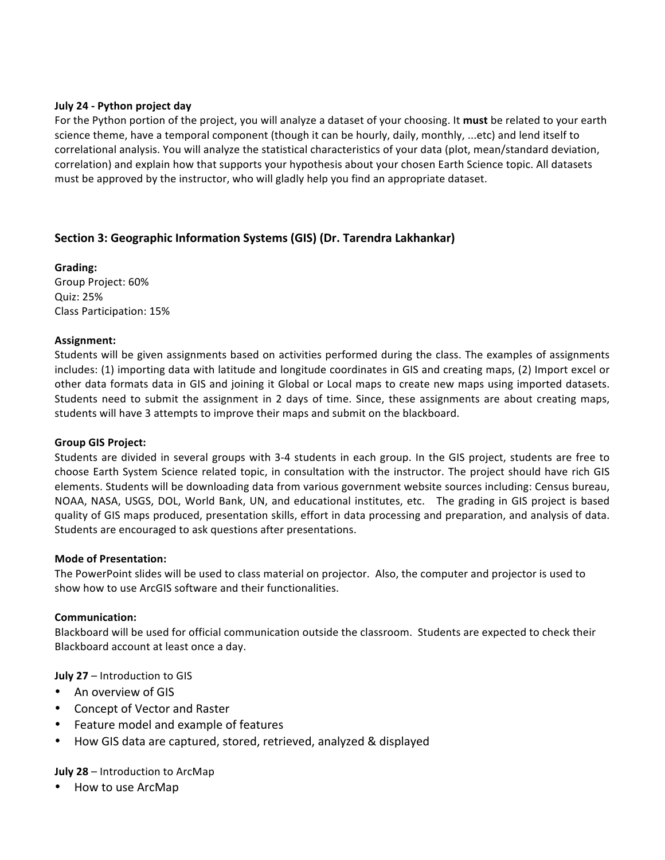#### **July 24 - Python project day**

For the Python portion of the project, you will analyze a dataset of your choosing. It must be related to your earth science theme, have a temporal component (though it can be hourly, daily, monthly, ...etc) and lend itself to correlational analysis. You will analyze the statistical characteristics of your data (plot, mean/standard deviation, correlation) and explain how that supports your hypothesis about your chosen Earth Science topic. All datasets must be approved by the instructor, who will gladly help you find an appropriate dataset.

# **Section 3: Geographic Information Systems (GIS) (Dr. Tarendra Lakhankar)**

**Grading:** Group Project: 60% Quiz: 25% Class Participation: 15%

## **Assignment:**

Students will be given assignments based on activities performed during the class. The examples of assignments includes: (1) importing data with latitude and longitude coordinates in GIS and creating maps, (2) Import excel or other data formats data in GIS and joining it Global or Local maps to create new maps using imported datasets. Students need to submit the assignment in 2 days of time. Since, these assignments are about creating maps, students will have 3 attempts to improve their maps and submit on the blackboard.

## **Group GIS Project:**

Students are divided in several groups with 3-4 students in each group. In the GIS project, students are free to choose Earth System Science related topic, in consultation with the instructor. The project should have rich GIS elements. Students will be downloading data from various government website sources including: Census bureau, NOAA, NASA, USGS, DOL, World Bank, UN, and educational institutes, etc. The grading in GIS project is based quality of GIS maps produced, presentation skills, effort in data processing and preparation, and analysis of data. Students are encouraged to ask questions after presentations.

## **Mode of Presentation:**

The PowerPoint slides will be used to class material on projector. Also, the computer and projector is used to show how to use ArcGIS software and their functionalities.

## **Communication:**

Blackboard will be used for official communication outside the classroom. Students are expected to check their Blackboard account at least once a day.

**July 27** – Introduction to GIS

- An overview of GIS
- Concept of Vector and Raster
- Feature model and example of features
- How GIS data are captured, stored, retrieved, analyzed & displayed

**July 28** – Introduction to ArcMap

• How to use ArcMap